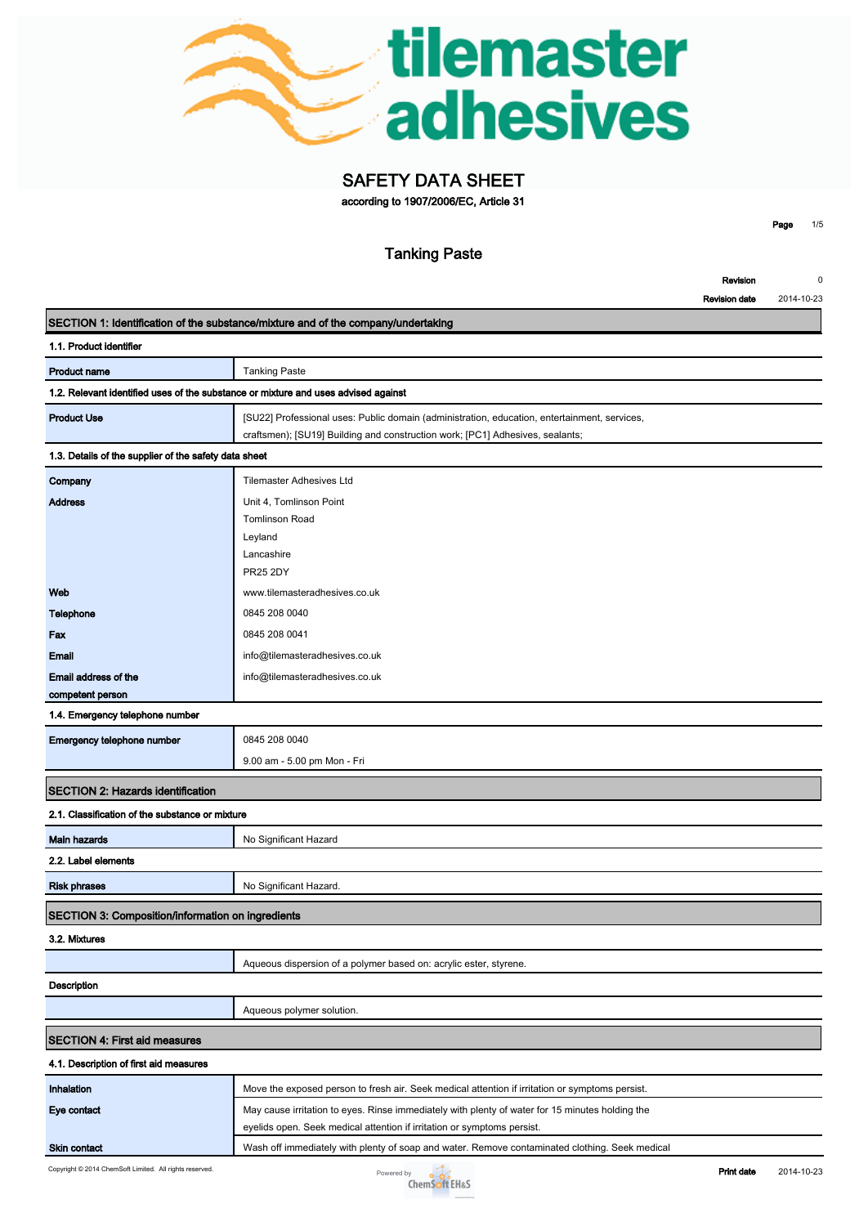

# **SAFETY DATA SHEET**

**according to 1907/2006/EC, Article 31**

**Page 1/5**

|                                                                                    | <b>Tanking Paste</b>                                                                                                                                                          |
|------------------------------------------------------------------------------------|-------------------------------------------------------------------------------------------------------------------------------------------------------------------------------|
|                                                                                    | Revision                                                                                                                                                                      |
|                                                                                    | 2014-10-23<br><b>Revision date</b>                                                                                                                                            |
|                                                                                    | SECTION 1: Identification of the substance/mixture and of the company/undertaking                                                                                             |
| 1.1. Product identifier                                                            |                                                                                                                                                                               |
| <b>Product name</b>                                                                | <b>Tanking Paste</b>                                                                                                                                                          |
| 1.2. Relevant identified uses of the substance or mixture and uses advised against |                                                                                                                                                                               |
| <b>Product Use</b>                                                                 | [SU22] Professional uses: Public domain (administration, education, entertainment, services,<br>craftsmen); [SU19] Building and construction work; [PC1] Adhesives, sealants; |
| 1.3. Details of the supplier of the safety data sheet                              |                                                                                                                                                                               |
| Company                                                                            | <b>Tilemaster Adhesives Ltd</b>                                                                                                                                               |
| <b>Address</b>                                                                     | Unit 4, Tomlinson Point                                                                                                                                                       |
|                                                                                    | <b>Tomlinson Road</b>                                                                                                                                                         |
|                                                                                    | Leyland                                                                                                                                                                       |
|                                                                                    | Lancashire                                                                                                                                                                    |
|                                                                                    | <b>PR25 2DY</b>                                                                                                                                                               |
| Web                                                                                | www.tilemasteradhesives.co.uk                                                                                                                                                 |
| <b>Telephone</b>                                                                   | 0845 208 0040                                                                                                                                                                 |
| Fax                                                                                | 0845 208 0041                                                                                                                                                                 |
| <b>Email</b>                                                                       | info@tilemasteradhesives.co.uk                                                                                                                                                |
| Email address of the                                                               | info@tilemasteradhesives.co.uk                                                                                                                                                |
| competent person                                                                   |                                                                                                                                                                               |
| 1.4. Emergency telephone number                                                    |                                                                                                                                                                               |
| Emergency telephone number                                                         | 0845 208 0040                                                                                                                                                                 |
|                                                                                    | 9.00 am - 5.00 pm Mon - Fri                                                                                                                                                   |
| <b>SECTION 2: Hazards identification</b>                                           |                                                                                                                                                                               |
| 2.1. Classification of the substance or mixture                                    |                                                                                                                                                                               |
| <b>Main hazards</b>                                                                | No Significant Hazard                                                                                                                                                         |
| 2.2. Label elements                                                                |                                                                                                                                                                               |
| <b>Risk phrases</b>                                                                | No Significant Hazard.                                                                                                                                                        |
|                                                                                    |                                                                                                                                                                               |
| SECTION 3: Composition/information on ingredients                                  |                                                                                                                                                                               |
| 3.2. Mixtures                                                                      |                                                                                                                                                                               |
|                                                                                    | Aqueous dispersion of a polymer based on: acrylic ester, styrene.                                                                                                             |
| Description                                                                        |                                                                                                                                                                               |
|                                                                                    | Aqueous polymer solution.                                                                                                                                                     |
| <b>SECTION 4: First aid measures</b>                                               |                                                                                                                                                                               |
| 4.1. Description of first aid measures                                             |                                                                                                                                                                               |
| Inhalation                                                                         | Move the exposed person to fresh air. Seek medical attention if irritation or symptoms persist.                                                                               |
| Eye contact                                                                        | May cause irritation to eyes. Rinse immediately with plenty of water for 15 minutes holding the                                                                               |
|                                                                                    | eyelids open. Seek medical attention if irritation or symptoms persist.                                                                                                       |
|                                                                                    |                                                                                                                                                                               |

**Skin contact Wash off immediately with plenty of soap and water. Remove contaminated clothing. Seek medical <b>Skin** 

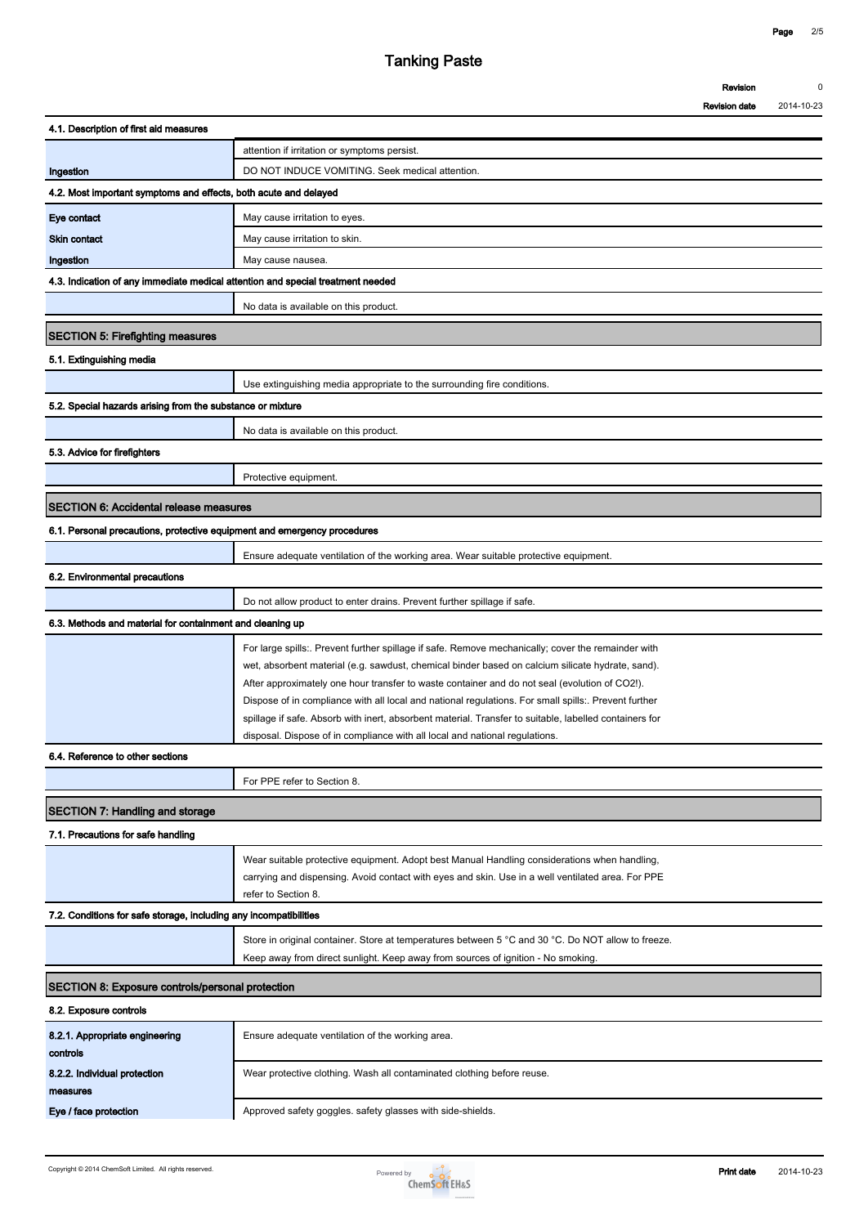|                                                                                 | <b>Tanking Paste</b>                                                                                   |                      |            |
|---------------------------------------------------------------------------------|--------------------------------------------------------------------------------------------------------|----------------------|------------|
|                                                                                 |                                                                                                        | Revision             | $\Omega$   |
|                                                                                 |                                                                                                        | <b>Revision date</b> | 2014-10-23 |
| 4.1. Description of first aid measures                                          |                                                                                                        |                      |            |
|                                                                                 | attention if irritation or symptoms persist.                                                           |                      |            |
| Ingestion                                                                       | DO NOT INDUCE VOMITING. Seek medical attention.                                                        |                      |            |
| 4.2. Most important symptoms and effects, both acute and delayed                |                                                                                                        |                      |            |
| Eye contact                                                                     | May cause irritation to eyes.                                                                          |                      |            |
| <b>Skin contact</b>                                                             | May cause irritation to skin.                                                                          |                      |            |
| Ingestion                                                                       | May cause nausea.                                                                                      |                      |            |
| 4.3. Indication of any immediate medical attention and special treatment needed |                                                                                                        |                      |            |
|                                                                                 | No data is available on this product.                                                                  |                      |            |
| <b>SECTION 5: Firefighting measures</b>                                         |                                                                                                        |                      |            |
| 5.1. Extinguishing media                                                        |                                                                                                        |                      |            |
|                                                                                 | Use extinguishing media appropriate to the surrounding fire conditions.                                |                      |            |
| 5.2. Special hazards arising from the substance or mixture                      |                                                                                                        |                      |            |
|                                                                                 | No data is available on this product.                                                                  |                      |            |
| 5.3. Advice for firefighters                                                    |                                                                                                        |                      |            |
|                                                                                 | Protective equipment.                                                                                  |                      |            |
|                                                                                 |                                                                                                        |                      |            |
| <b>SECTION 6: Accidental release measures</b>                                   |                                                                                                        |                      |            |
| 6.1. Personal precautions, protective equipment and emergency procedures        |                                                                                                        |                      |            |
|                                                                                 | Ensure adequate ventilation of the working area. Wear suitable protective equipment.                   |                      |            |
| 6.2. Environmental precautions                                                  |                                                                                                        |                      |            |
|                                                                                 | Do not allow product to enter drains. Prevent further spillage if safe.                                |                      |            |
| 6.3. Methods and material for containment and cleaning up                       |                                                                                                        |                      |            |
|                                                                                 | For large spills:. Prevent further spillage if safe. Remove mechanically; cover the remainder with     |                      |            |
|                                                                                 | wet, absorbent material (e.g. sawdust, chemical binder based on calcium silicate hydrate, sand).       |                      |            |
|                                                                                 | After approximately one hour transfer to waste container and do not seal (evolution of CO2!).          |                      |            |
|                                                                                 | Dispose of in compliance with all local and national regulations. For small spills:. Prevent further   |                      |            |
|                                                                                 | spillage if safe. Absorb with inert, absorbent material. Transfer to suitable, labelled containers for |                      |            |
| 6.4. Reference to other sections                                                | disposal. Dispose of in compliance with all local and national regulations.                            |                      |            |
|                                                                                 |                                                                                                        |                      |            |
|                                                                                 | For PPE refer to Section 8.                                                                            |                      |            |
| SECTION 7: Handling and storage                                                 |                                                                                                        |                      |            |
| 7.1. Precautions for safe handling                                              |                                                                                                        |                      |            |
|                                                                                 | Wear suitable protective equipment. Adopt best Manual Handling considerations when handling,           |                      |            |
|                                                                                 | carrying and dispensing. Avoid contact with eyes and skin. Use in a well ventilated area. For PPE      |                      |            |
|                                                                                 | refer to Section 8.                                                                                    |                      |            |
| 7.2. Conditions for safe storage, including any incompatibilities               |                                                                                                        |                      |            |
|                                                                                 | Store in original container. Store at temperatures between 5 °C and 30 °C. Do NOT allow to freeze.     |                      |            |
|                                                                                 | Keep away from direct sunlight. Keep away from sources of ignition - No smoking.                       |                      |            |
| SECTION 8: Exposure controls/personal protection                                |                                                                                                        |                      |            |
| 8.2. Exposure controls                                                          |                                                                                                        |                      |            |
| 8.2.1. Appropriate engineering<br>controls                                      | Ensure adequate ventilation of the working area.                                                       |                      |            |
| 8.2.2. Individual protection<br>measures                                        | Wear protective clothing. Wash all contaminated clothing before reuse.                                 |                      |            |
| Eye / face protection                                                           | Approved safety goggles. safety glasses with side-shields.                                             |                      |            |
|                                                                                 |                                                                                                        |                      |            |

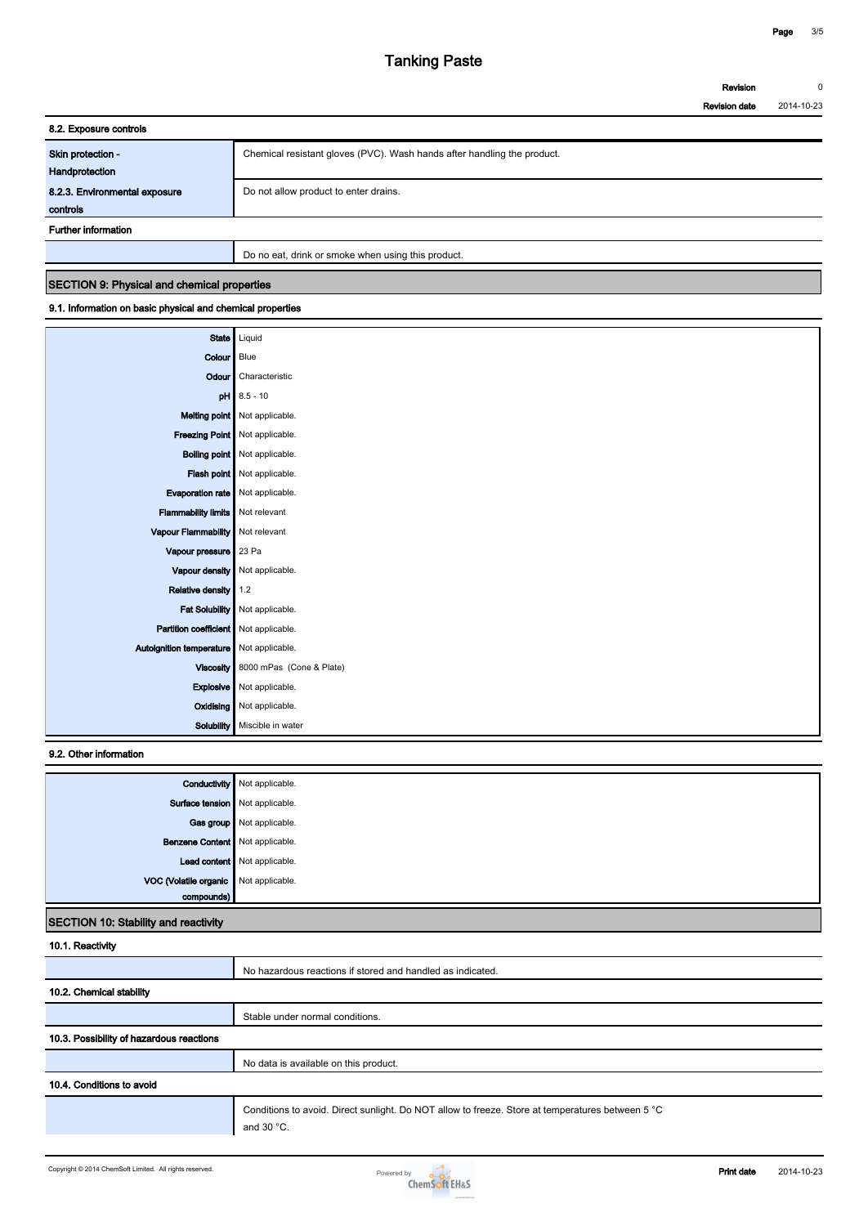| Tanking Paste |                      |            |
|---------------|----------------------|------------|
|               | Revision             | 0          |
|               | <b>Revision date</b> | 2014-10-23 |

| 8.2. Exposure controls        |                                                                         |
|-------------------------------|-------------------------------------------------------------------------|
| Skin protection -             | Chemical resistant gloves (PVC). Wash hands after handling the product. |
| Handprotection                |                                                                         |
| 8.2.3. Environmental exposure | Do not allow product to enter drains.                                   |
| controls                      |                                                                         |
| <b>Further information</b>    |                                                                         |
|                               | Do no eat, drink or smoke when using this product.                      |

#### **SECTION 9: Physical and chemical properties**

### **9.1. Information on basic physical and chemical properties**

| <b>State</b>                               | Liquid                               |
|--------------------------------------------|--------------------------------------|
|                                            |                                      |
| Colour                                     | Blue                                 |
| Odour                                      | Characteristic                       |
| pH                                         | $8.5 - 10$                           |
|                                            | Melting point Not applicable.        |
|                                            | Freezing Point   Not applicable.     |
|                                            | <b>Boiling point</b> Not applicable. |
|                                            | Flash point   Not applicable.        |
| Evaporation rate   Not applicable.         |                                      |
| <b>Flammability limits</b>                 | Not relevant                         |
| Vapour Flammability                        | Not relevant                         |
| Vapour pressure                            | 23 Pa                                |
| Vapour density                             | Not applicable.                      |
| Relative density                           | 1.2                                  |
| <b>Fat Solubility</b>                      | Not applicable.                      |
| Partition coefficient   Not applicable.    |                                      |
| Autoignition temperature   Not applicable. |                                      |
| <b>Viscosity</b>                           | 8000 mPas (Cone & Plate)             |
| Explosive                                  | Not applicable.                      |
| <b>Oxidising</b>                           | Not applicable.                      |
| Solubility                                 | Miscible in water                    |

## **9.2. Other information**

|                                       | <b>Conductivity</b> Not applicable. |
|---------------------------------------|-------------------------------------|
|                                       | Surface tension   Not applicable.   |
|                                       | Gas group Not applicable.           |
| Benzene Content Not applicable.       |                                     |
|                                       | Lead content Not applicable.        |
| VOC (Volatile organic Not applicable. |                                     |
|                                       |                                     |

### **SECTION 10: Stability and reactivity**

| 10.1. Reactivity                         |                                                                                                                   |
|------------------------------------------|-------------------------------------------------------------------------------------------------------------------|
|                                          | No hazardous reactions if stored and handled as indicated.                                                        |
| 10.2. Chemical stability                 |                                                                                                                   |
|                                          | Stable under normal conditions.                                                                                   |
| 10.3. Possibility of hazardous reactions |                                                                                                                   |
|                                          | No data is available on this product.                                                                             |
| 10.4. Conditions to avoid                |                                                                                                                   |
|                                          | Conditions to avoid. Direct sunlight. Do NOT allow to freeze. Store at temperatures between 5 °C<br>and 30 $°C$ . |

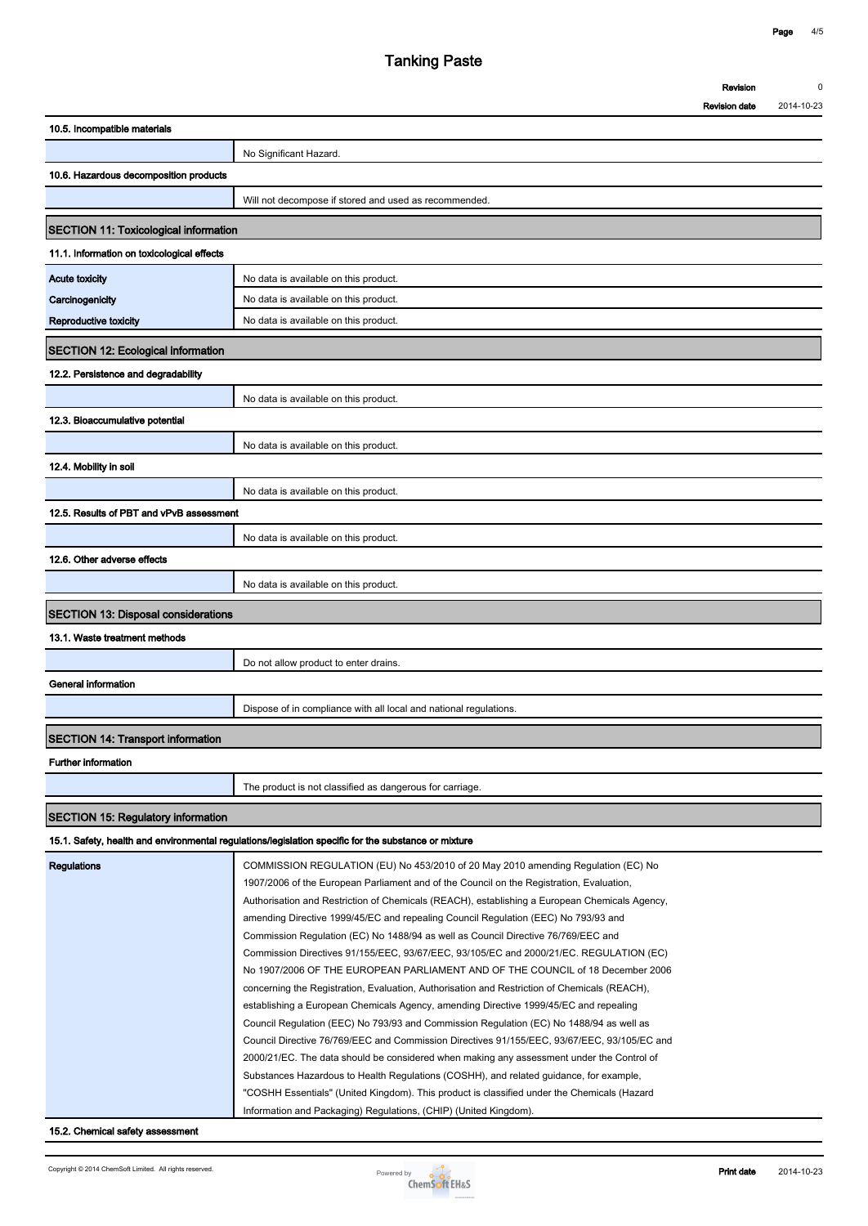| Tanking Paste |                      |            |  |
|---------------|----------------------|------------|--|
|               | Revision             | 0          |  |
|               | <b>Revision date</b> | 2014-10-23 |  |

**Revision date**

| No Significant Hazard.<br>Will not decompose if stored and used as recommended.<br><b>SECTION 11: Toxicological information</b><br>No data is available on this product.<br>No data is available on this product.                                                                                                                                                                                                                                                                                                                                                                                                                     |
|---------------------------------------------------------------------------------------------------------------------------------------------------------------------------------------------------------------------------------------------------------------------------------------------------------------------------------------------------------------------------------------------------------------------------------------------------------------------------------------------------------------------------------------------------------------------------------------------------------------------------------------|
|                                                                                                                                                                                                                                                                                                                                                                                                                                                                                                                                                                                                                                       |
|                                                                                                                                                                                                                                                                                                                                                                                                                                                                                                                                                                                                                                       |
|                                                                                                                                                                                                                                                                                                                                                                                                                                                                                                                                                                                                                                       |
|                                                                                                                                                                                                                                                                                                                                                                                                                                                                                                                                                                                                                                       |
|                                                                                                                                                                                                                                                                                                                                                                                                                                                                                                                                                                                                                                       |
|                                                                                                                                                                                                                                                                                                                                                                                                                                                                                                                                                                                                                                       |
|                                                                                                                                                                                                                                                                                                                                                                                                                                                                                                                                                                                                                                       |
|                                                                                                                                                                                                                                                                                                                                                                                                                                                                                                                                                                                                                                       |
|                                                                                                                                                                                                                                                                                                                                                                                                                                                                                                                                                                                                                                       |
| No data is available on this product.                                                                                                                                                                                                                                                                                                                                                                                                                                                                                                                                                                                                 |
|                                                                                                                                                                                                                                                                                                                                                                                                                                                                                                                                                                                                                                       |
|                                                                                                                                                                                                                                                                                                                                                                                                                                                                                                                                                                                                                                       |
| No data is available on this product.                                                                                                                                                                                                                                                                                                                                                                                                                                                                                                                                                                                                 |
|                                                                                                                                                                                                                                                                                                                                                                                                                                                                                                                                                                                                                                       |
| No data is available on this product.                                                                                                                                                                                                                                                                                                                                                                                                                                                                                                                                                                                                 |
|                                                                                                                                                                                                                                                                                                                                                                                                                                                                                                                                                                                                                                       |
| No data is available on this product.                                                                                                                                                                                                                                                                                                                                                                                                                                                                                                                                                                                                 |
| 12.5. Results of PBT and vPvB assessment                                                                                                                                                                                                                                                                                                                                                                                                                                                                                                                                                                                              |
|                                                                                                                                                                                                                                                                                                                                                                                                                                                                                                                                                                                                                                       |
| No data is available on this product.                                                                                                                                                                                                                                                                                                                                                                                                                                                                                                                                                                                                 |
|                                                                                                                                                                                                                                                                                                                                                                                                                                                                                                                                                                                                                                       |
| No data is available on this product.                                                                                                                                                                                                                                                                                                                                                                                                                                                                                                                                                                                                 |
| <b>SECTION 13: Disposal considerations</b>                                                                                                                                                                                                                                                                                                                                                                                                                                                                                                                                                                                            |
|                                                                                                                                                                                                                                                                                                                                                                                                                                                                                                                                                                                                                                       |
| Do not allow product to enter drains.                                                                                                                                                                                                                                                                                                                                                                                                                                                                                                                                                                                                 |
|                                                                                                                                                                                                                                                                                                                                                                                                                                                                                                                                                                                                                                       |
| Dispose of in compliance with all local and national regulations.                                                                                                                                                                                                                                                                                                                                                                                                                                                                                                                                                                     |
|                                                                                                                                                                                                                                                                                                                                                                                                                                                                                                                                                                                                                                       |
|                                                                                                                                                                                                                                                                                                                                                                                                                                                                                                                                                                                                                                       |
|                                                                                                                                                                                                                                                                                                                                                                                                                                                                                                                                                                                                                                       |
| The product is not classified as dangerous for carriage.                                                                                                                                                                                                                                                                                                                                                                                                                                                                                                                                                                              |
|                                                                                                                                                                                                                                                                                                                                                                                                                                                                                                                                                                                                                                       |
| 15.1. Safety, health and environmental regulations/legislation specific for the substance or mixture                                                                                                                                                                                                                                                                                                                                                                                                                                                                                                                                  |
| COMMISSION REGULATION (EU) No 453/2010 of 20 May 2010 amending Regulation (EC) No<br>1907/2006 of the European Parliament and of the Council on the Registration, Evaluation,<br>Authorisation and Restriction of Chemicals (REACH), establishing a European Chemicals Agency,<br>amending Directive 1999/45/EC and repealing Council Regulation (EEC) No 793/93 and<br>Commission Regulation (EC) No 1488/94 as well as Council Directive 76/769/EEC and<br>Commission Directives 91/155/EEC, 93/67/EEC, 93/105/EC and 2000/21/EC. REGULATION (EC)<br>No 1907/2006 OF THE EUROPEAN PARLIAMENT AND OF THE COUNCIL of 18 December 2006 |
|                                                                                                                                                                                                                                                                                                                                                                                                                                                                                                                                                                                                                                       |



**Information and Packaging) Regulations, (CHIP) (United Kingdom).**